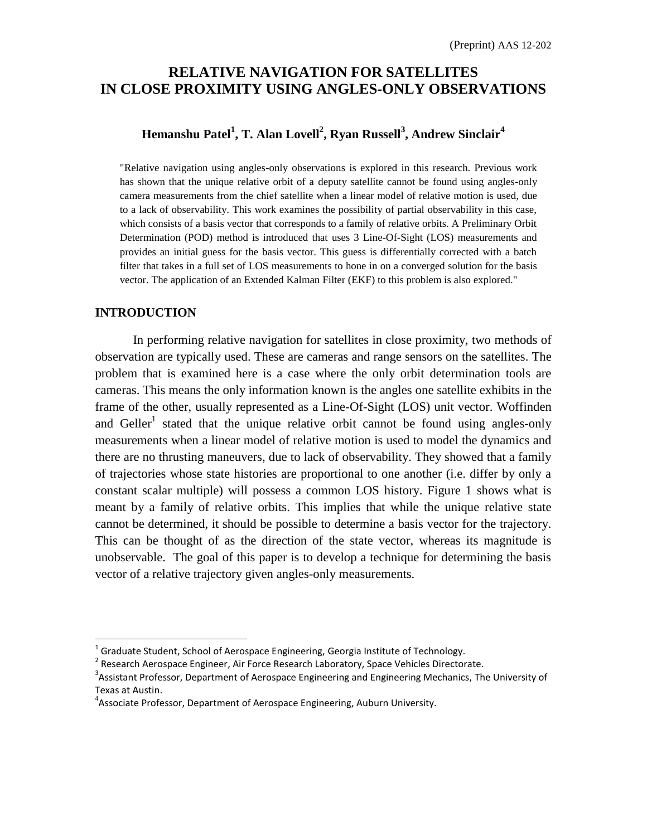# **RELATIVE NAVIGATION FOR SATELLITES IN CLOSE PROXIMITY USING ANGLES-ONLY OBSERVATIONS**

# **Hemanshu Patel<sup>1</sup> , T. Alan Lovell<sup>2</sup> , Ryan Russell<sup>3</sup> , Andrew Sinclair<sup>4</sup>**

"Relative navigation using angles-only observations is explored in this research. Previous work has shown that the unique relative orbit of a deputy satellite cannot be found using angles-only camera measurements from the chief satellite when a linear model of relative motion is used, due to a lack of observability. This work examines the possibility of partial observability in this case, which consists of a basis vector that corresponds to a family of relative orbits. A Preliminary Orbit Determination (POD) method is introduced that uses 3 Line-Of-Sight (LOS) measurements and provides an initial guess for the basis vector. This guess is differentially corrected with a batch filter that takes in a full set of LOS measurements to hone in on a converged solution for the basis vector. The application of an Extended Kalman Filter (EKF) to this problem is also explored."

# **INTRODUCTION**

 $\overline{a}$ 

In performing relative navigation for satellites in close proximity, two methods of observation are typically used. These are cameras and range sensors on the satellites. The problem that is examined here is a case where the only orbit determination tools are cameras. This means the only information known is the angles one satellite exhibits in the frame of the other, usually represented as a Line-Of-Sight (LOS) unit vector. Woffinden and Geller<sup>1</sup> stated that the unique relative orbit cannot be found using angles-only measurements when a linear model of relative motion is used to model the dynamics and there are no thrusting maneuvers, due to lack of observability. They showed that a family of trajectories whose state histories are proportional to one another (i.e. differ by only a constant scalar multiple) will possess a common LOS history. Figure 1 shows what is meant by a family of relative orbits. This implies that while the unique relative state cannot be determined, it should be possible to determine a basis vector for the trajectory. This can be thought of as the direction of the state vector, whereas its magnitude is unobservable. The goal of this paper is to develop a technique for determining the basis vector of a relative trajectory given angles-only measurements.

 $^1$  Graduate Student, School of Aerospace Engineering, Georgia Institute of Technology.

<sup>&</sup>lt;sup>2</sup> Research Aerospace Engineer, Air Force Research Laboratory, Space Vehicles Directorate.

<sup>&</sup>lt;sup>3</sup>Assistant Professor, Department of Aerospace Engineering and Engineering Mechanics, The University of Texas at Austin.

<sup>4</sup> Associate Professor, Department of Aerospace Engineering, Auburn University.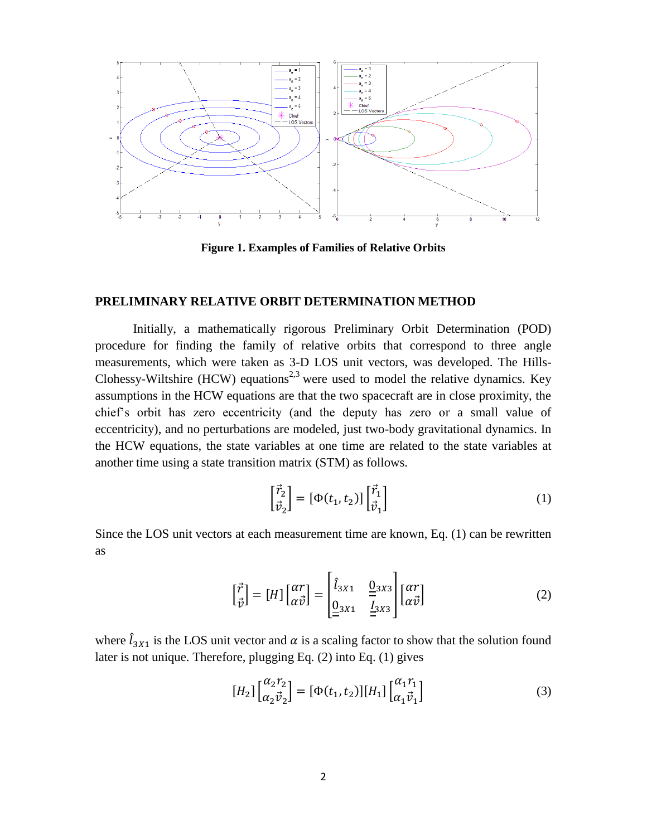

**Figure 1. Examples of Families of Relative Orbits**

## **PRELIMINARY RELATIVE ORBIT DETERMINATION METHOD**

Initially, a mathematically rigorous Preliminary Orbit Determination (POD) procedure for finding the family of relative orbits that correspond to three angle measurements, which were taken as 3-D LOS unit vectors, was developed. The Hills-Clohessy-Wiltshire (HCW) equations<sup>2,3</sup> were used to model the relative dynamics. Key assumptions in the HCW equations are that the two spacecraft are in close proximity, the chief's orbit has zero eccentricity (and the deputy has zero or a small value of eccentricity), and no perturbations are modeled, just two-body gravitational dynamics. In the HCW equations, the state variables at one time are related to the state variables at another time using a state transition matrix (STM) as follows.

$$
\begin{bmatrix} \vec{r}_2 \\ \vec{v}_2 \end{bmatrix} = \left[ \Phi(t_1, t_2) \right] \begin{bmatrix} \vec{r}_1 \\ \vec{v}_1 \end{bmatrix} \tag{1}
$$

Since the LOS unit vectors at each measurement time are known, Eq. (1) can be rewritten as

$$
\begin{bmatrix} \vec{r} \\ \vec{v} \end{bmatrix} = [H] \begin{bmatrix} \alpha r \\ \alpha \vec{v} \end{bmatrix} = \begin{bmatrix} \hat{l}_{3X1} & \underline{0}_{3X3} \\ \underline{0}_{3X1} & \underline{L}_{3X3} \end{bmatrix} \begin{bmatrix} \alpha r \\ \alpha \vec{v} \end{bmatrix}
$$
(2)

where  $\hat{l}_{3X1}$  is the LOS unit vector and  $\alpha$  is a scaling factor to show that the solution found later is not unique. Therefore, plugging Eq. (2) into Eq. (1) gives

$$
[H_2] \begin{bmatrix} \alpha_2 r_2 \\ \alpha_2 \vec{v}_2 \end{bmatrix} = [\Phi(t_1, t_2)][H_1] \begin{bmatrix} \alpha_1 r_1 \\ \alpha_1 \vec{v}_1 \end{bmatrix}
$$
 (3)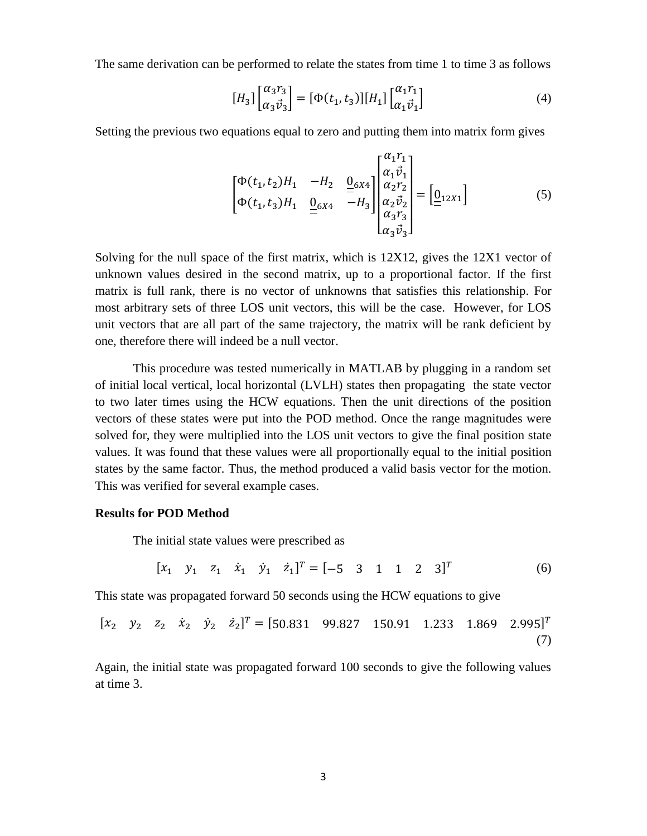The same derivation can be performed to relate the states from time 1 to time 3 as follows

$$
[H_3] \begin{bmatrix} \alpha_3 r_3 \\ \alpha_3 \vec{v}_3 \end{bmatrix} = [\Phi(t_1, t_3)][H_1] \begin{bmatrix} \alpha_1 r_1 \\ \alpha_1 \vec{v}_1 \end{bmatrix}
$$
(4)

Setting the previous two equations equal to zero and putting them into matrix form gives

$$
\begin{bmatrix}\n\Phi(t_1, t_2)H_1 & -H_2 & \underline{0}_{6X4} \\
\Phi(t_1, t_3)H_1 & \underline{0}_{6X4} & -H_3\n\end{bmatrix}\n\begin{bmatrix}\n\alpha_1 r_1 \\
\alpha_1 \vec{v}_1 \\
\alpha_2 r_2 \\
\alpha_3 r_3 \\
\alpha_3 \vec{v}_3\n\end{bmatrix} = \begin{bmatrix}\n\underline{0}_{12X1}\n\end{bmatrix}
$$
\n(5)

Solving for the null space of the first matrix, which is 12X12, gives the 12X1 vector of unknown values desired in the second matrix, up to a proportional factor. If the first matrix is full rank, there is no vector of unknowns that satisfies this relationship. For most arbitrary sets of three LOS unit vectors, this will be the case. However, for LOS unit vectors that are all part of the same trajectory, the matrix will be rank deficient by one, therefore there will indeed be a null vector.

This procedure was tested numerically in MATLAB by plugging in a random set of initial local vertical, local horizontal (LVLH) states then propagating the state vector to two later times using the HCW equations. Then the unit directions of the position vectors of these states were put into the POD method. Once the range magnitudes were solved for, they were multiplied into the LOS unit vectors to give the final position state values. It was found that these values were all proportionally equal to the initial position states by the same factor. Thus, the method produced a valid basis vector for the motion. This was verified for several example cases.

#### **Results for POD Method**

The initial state values were prescribed as

$$
[x_1 \quad y_1 \quad z_1 \quad \dot{x}_1 \quad \dot{y}_1 \quad \dot{z}_1]^T = [-5 \quad 3 \quad 1 \quad 1 \quad 2 \quad 3]^T \tag{6}
$$

This state was propagated forward 50 seconds using the HCW equations to give

$$
\begin{bmatrix} x_2 & y_2 & z_2 & \dot{x}_2 & \dot{y}_2 & \dot{z}_2 \end{bmatrix}^T = \begin{bmatrix} 50.831 & 99.827 & 150.91 & 1.233 & 1.869 & 2.995 \end{bmatrix}^T \tag{7}
$$

Again, the initial state was propagated forward 100 seconds to give the following values at time 3.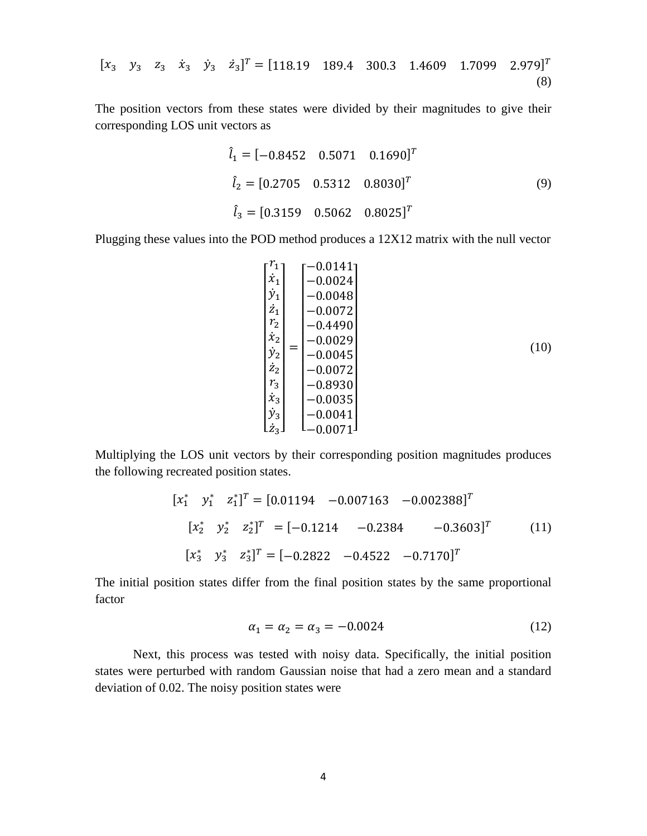$$
\begin{bmatrix} x_3 & y_3 & z_3 & \dot{x}_3 & \dot{y}_3 & \dot{z}_3 \end{bmatrix}^T = \begin{bmatrix} 118.19 & 189.4 & 300.3 & 1.4609 & 1.7099 & 2.979 \end{bmatrix}^T \tag{8}
$$

The position vectors from these states were divided by their magnitudes to give their corresponding LOS unit vectors as

$$
\hat{l}_1 = [-0.8452 \quad 0.5071 \quad 0.1690]^T
$$
  
\n
$$
\hat{l}_2 = [0.2705 \quad 0.5312 \quad 0.8030]^T
$$
  
\n
$$
\hat{l}_3 = [0.3159 \quad 0.5062 \quad 0.8025]^T
$$
 (9)

Plugging these values into the POD method produces a 12X12 matrix with the null vector

$$
\begin{bmatrix}\nr_1 \\
\dot{x}_1 \\
\dot{y}_1 \\
\dot{z}_1 \\
r_2 \\
\dot{x}_2 \\
\dot{z}_2 \\
\dot{z}_2 \\
\dot{z}_3\n\end{bmatrix} = \begin{bmatrix}\n-0.0141 \\
-0.0024 \\
-0.0048 \\
-0.0072 \\
-0.4490 \\
-0.0029 \\
-0.0045 \\
-0.0072 \\
-0.8930 \\
-0.0035 \\
\dot{y}_3 \\
-0.0041 \\
\dot{z}_3\n\end{bmatrix}
$$
\n(10)

Multiplying the LOS unit vectors by their corresponding position magnitudes produces the following recreated position states.

$$
\begin{aligned}\n[x_1^* \quad y_1^* \quad z_1^*]^T &= [0.01194 \quad -0.007163 \quad -0.002388]^T \\
[x_2^* \quad y_2^* \quad z_2^*]^T &= [-0.1214 \quad -0.2384 \quad -0.3603]^T \\
[x_3^* \quad y_3^* \quad z_3^*]^T &= [-0.2822 \quad -0.4522 \quad -0.7170]^T\n\end{aligned} \tag{11}
$$

The initial position states differ from the final position states by the same proportional factor

$$
\alpha_1 = \alpha_2 = \alpha_3 = -0.0024 \tag{12}
$$

Next, this process was tested with noisy data. Specifically, the initial position states were perturbed with random Gaussian noise that had a zero mean and a standard deviation of 0.02. The noisy position states were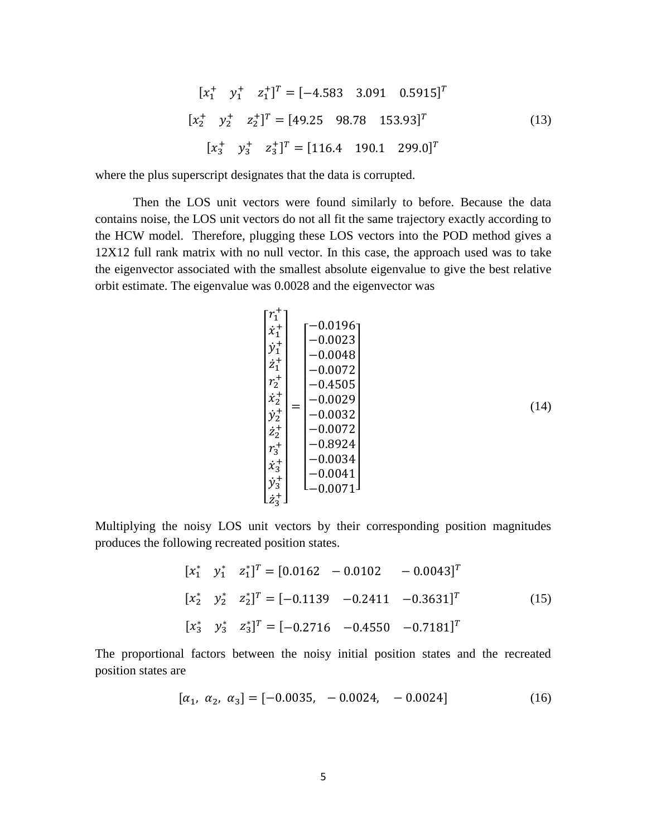$$
\begin{aligned}\n[x_1^+ \quad y_1^+ \quad z_1^+]^T &= [-4.583 \quad 3.091 \quad 0.5915]^T \\
[x_2^+ \quad y_2^+ \quad z_2^+]^T &= [49.25 \quad 98.78 \quad 153.93]^T \\
[x_3^+ \quad y_3^+ \quad z_3^+]^T &= [116.4 \quad 190.1 \quad 299.0]^T\n\end{aligned} \tag{13}
$$

where the plus superscript designates that the data is corrupted.

Then the LOS unit vectors were found similarly to before. Because the data contains noise, the LOS unit vectors do not all fit the same trajectory exactly according to the HCW model. Therefore, plugging these LOS vectors into the POD method gives a 12X12 full rank matrix with no null vector. In this case, the approach used was to take the eigenvector associated with the smallest absolute eigenvalue to give the best relative orbit estimate. The eigenvalue was 0.0028 and the eigenvector was

$$
\begin{bmatrix} r_1^+ \\ \dot{x}_1^+ \\ \dot{y}_1^+ \\ \dot{z}_1^+ \\ r_2^+ \\ \dot{y}_2^+ \\ \dot{y}_2^+ \\ \dot{z}_2^+ \\ \dot{z}_2^+ \\ \dot{r}_3^+ \\ \dot{y}_3^+ \\ \dot{y}_3^+ \\ \dot{z}_3^+ \end{bmatrix} = \begin{bmatrix} -0.0196 \\ -0.0023 \\ -0.0072 \\ -0.4505 \\ -0.0029 \\ -0.0032 \\ -0.0072 \\ -0.0034 \\ -0.0034 \\ -0.00041 \\ -0.0071 \end{bmatrix}
$$
 (14)

Multiplying the noisy LOS unit vectors by their corresponding position magnitudes produces the following recreated position states.

$$
\begin{aligned}\n[x_1^* \quad y_1^* \quad z_1^*]^T &= [0.0162 \quad -0.0102 \quad -0.0043]^T \\
[x_2^* \quad y_2^* \quad z_2^*]^T &= [-0.1139 \quad -0.2411 \quad -0.3631]^T \\
[x_3^* \quad y_3^* \quad z_3^*]^T &= [-0.2716 \quad -0.4550 \quad -0.7181]^T\n\end{aligned} \tag{15}
$$

The proportional factors between the noisy initial position states and the recreated position states are

$$
[\alpha_1, \alpha_2, \alpha_3] = [-0.0035, -0.0024, -0.0024]
$$
 (16)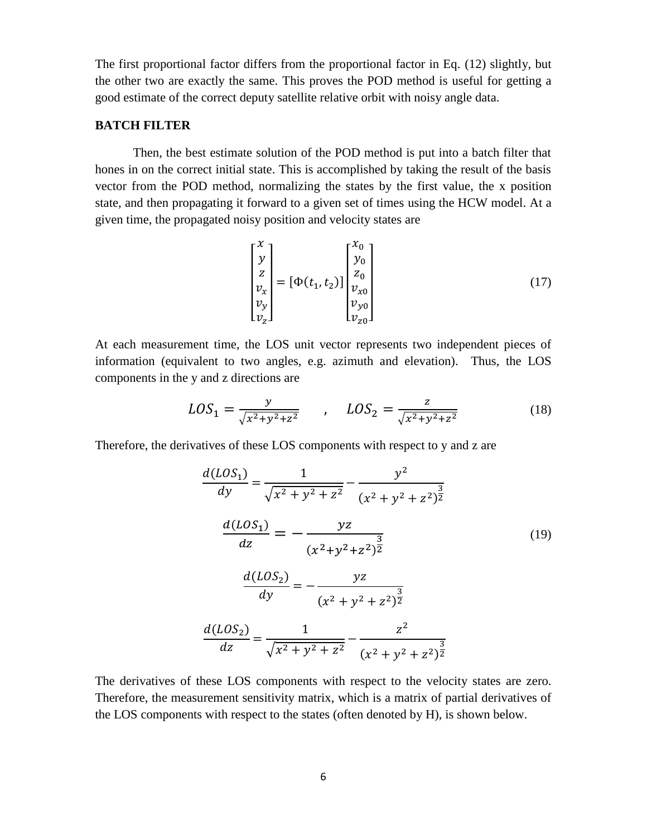The first proportional factor differs from the proportional factor in Eq. (12) slightly, but the other two are exactly the same. This proves the POD method is useful for getting a good estimate of the correct deputy satellite relative orbit with noisy angle data.

# **BATCH FILTER**

Then, the best estimate solution of the POD method is put into a batch filter that hones in on the correct initial state. This is accomplished by taking the result of the basis vector from the POD method, normalizing the states by the first value, the x position state, and then propagating it forward to a given set of times using the HCW model. At a given time, the propagated noisy position and velocity states are

$$
\begin{bmatrix} x \\ y \\ z \\ v_x \\ v_y \\ v_z \end{bmatrix} = \begin{bmatrix} \Phi(t_1, t_2) \end{bmatrix} \begin{bmatrix} x_0 \\ y_0 \\ z_0 \\ v_{x0} \\ v_{y0} \\ v_{z0} \end{bmatrix}
$$
 (17)

At each measurement time, the LOS unit vector represents two independent pieces of information (equivalent to two angles, e.g. azimuth and elevation). Thus, the LOS components in the y and z directions are

$$
LOS_1 = \frac{y}{\sqrt{x^2 + y^2 + z^2}} \qquad , \quad LOS_2 = \frac{z}{\sqrt{x^2 + y^2 + z^2}} \tag{18}
$$

Therefore, the derivatives of these LOS components with respect to y and z are

$$
\frac{d(LOS_1)}{dy} = \frac{1}{\sqrt{x^2 + y^2 + z^2}} - \frac{y^2}{(x^2 + y^2 + z^2)^{\frac{3}{2}}}
$$
\n
$$
\frac{d(LOS_1)}{dz} = -\frac{yz}{(x^2 + y^2 + z^2)^{\frac{3}{2}}}
$$
\n
$$
\frac{d(LOS_2)}{dy} = -\frac{yz}{(x^2 + y^2 + z^2)^{\frac{3}{2}}}
$$
\n
$$
\frac{d(LOS_2)}{dz} = \frac{1}{\sqrt{x^2 + y^2 + z^2}} - \frac{z^2}{(x^2 + y^2 + z^2)^{\frac{3}{2}}}
$$
\n(19)

The derivatives of these LOS components with respect to the velocity states are zero. Therefore, the measurement sensitivity matrix, which is a matrix of partial derivatives of the LOS components with respect to the states (often denoted by H), is shown below.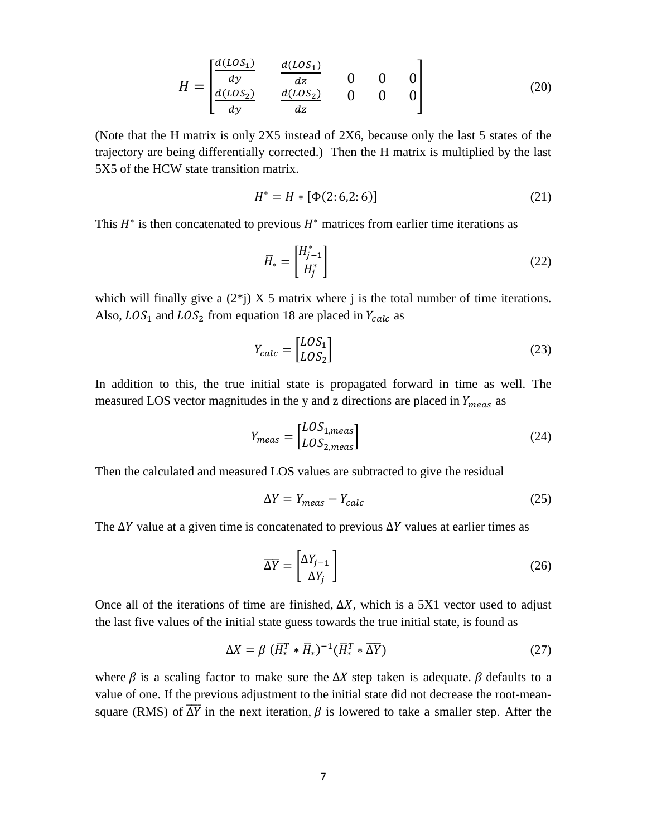$$
H = \begin{bmatrix} \frac{d(LOS_1)}{dy} & \frac{d(LOS_1)}{dz} & 0 & 0 & 0\\ \frac{d(LOS_2)}{dy} & \frac{d(LOS_2)}{dz} & 0 & 0 & 0 \end{bmatrix}
$$
(20)

(Note that the H matrix is only 2X5 instead of 2X6, because only the last 5 states of the trajectory are being differentially corrected.) Then the H matrix is multiplied by the last 5X5 of the HCW state transition matrix.

$$
H^* = H * [\Phi(2:6,2:6)] \tag{21}
$$

This  $H^*$  is then concatenated to previous  $H^*$  matrices from earlier time iterations as

$$
\overline{H}_* = \begin{bmatrix} H_{j-1}^* \\ H_j^* \end{bmatrix} \tag{22}
$$

which will finally give a  $(2^*)$  X 5 matrix where j is the total number of time iterations. Also,  $LOS_1$  and  $LOS_2$  from equation 18 are placed in  $Y_{calc}$  as

$$
Y_{calc} = \begin{bmatrix} LOS_1 \\ LOS_2 \end{bmatrix} \tag{23}
$$

In addition to this, the true initial state is propagated forward in time as well. The measured LOS vector magnitudes in the y and z directions are placed in  $Y_{meas}$  as

$$
Y_{meas} = \begin{bmatrix} LOS_{1,meas} \\ LOS_{2,meas} \end{bmatrix}
$$
 (24)

Then the calculated and measured LOS values are subtracted to give the residual

$$
\Delta Y = Y_{meas} - Y_{calc} \tag{25}
$$

The  $\Delta Y$  value at a given time is concatenated to previous  $\Delta Y$  values at earlier times as

$$
\overline{\Delta Y} = \begin{bmatrix} \Delta Y_{j-1} \\ \Delta Y_j \end{bmatrix} \tag{26}
$$

Once all of the iterations of time are finished,  $\Delta X$ , which is a 5X1 vector used to adjust the last five values of the initial state guess towards the true initial state, is found as

$$
\Delta X = \beta \left( \overline{H}_*^T \ast \overline{H}_* \right)^{-1} \left( \overline{H}_*^T \ast \overline{\Delta Y} \right) \tag{27}
$$

where  $\beta$  is a scaling factor to make sure the  $\Delta X$  step taken is adequate.  $\beta$  defaults to a value of one. If the previous adjustment to the initial state did not decrease the root-meansquare (RMS) of  $\overline{\Delta Y}$  in the next iteration,  $\beta$  is lowered to take a smaller step. After the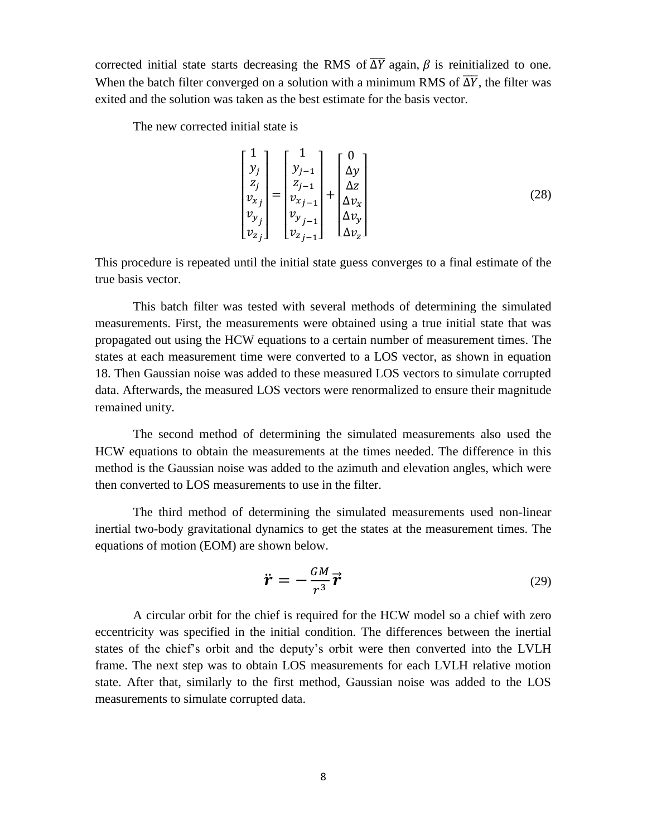corrected initial state starts decreasing the RMS of  $\overline{\Delta Y}$  again,  $\beta$  is reinitialized to one. When the batch filter converged on a solution with a minimum RMS of  $\overline{\Delta Y}$ , the filter was exited and the solution was taken as the best estimate for the basis vector.

The new corrected initial state is

 $\mathcal{L}^{\mathcal{A}}$ 

$$
\begin{bmatrix} 1 \\ y_j \\ z_j \\ v_{x_j} \\ v_{y_j} \\ v_{z_j} \end{bmatrix} = \begin{bmatrix} 1 \\ y_{j-1} \\ z_{j-1} \\ v_{x_{j-1}} \\ v_{y_{j-1}} \\ v_{y_{j-1}} \end{bmatrix} + \begin{bmatrix} 0 \\ \Delta y \\ \Delta z \\ \Delta v_x \\ \Delta v_y \\ \Delta v_y \\ \Delta v_z \end{bmatrix}
$$
(28)

This procedure is repeated until the initial state guess converges to a final estimate of the true basis vector.

This batch filter was tested with several methods of determining the simulated measurements. First, the measurements were obtained using a true initial state that was propagated out using the HCW equations to a certain number of measurement times. The states at each measurement time were converted to a LOS vector, as shown in equation 18. Then Gaussian noise was added to these measured LOS vectors to simulate corrupted data. Afterwards, the measured LOS vectors were renormalized to ensure their magnitude remained unity.

The second method of determining the simulated measurements also used the HCW equations to obtain the measurements at the times needed. The difference in this method is the Gaussian noise was added to the azimuth and elevation angles, which were then converted to LOS measurements to use in the filter.

The third method of determining the simulated measurements used non-linear inertial two-body gravitational dynamics to get the states at the measurement times. The equations of motion (EOM) are shown below.

$$
\ddot{\mathbf{r}} = -\frac{GM}{r^3}\vec{\mathbf{r}}\tag{29}
$$

A circular orbit for the chief is required for the HCW model so a chief with zero eccentricity was specified in the initial condition. The differences between the inertial states of the chief's orbit and the deputy's orbit were then converted into the LVLH frame. The next step was to obtain LOS measurements for each LVLH relative motion state. After that, similarly to the first method, Gaussian noise was added to the LOS measurements to simulate corrupted data.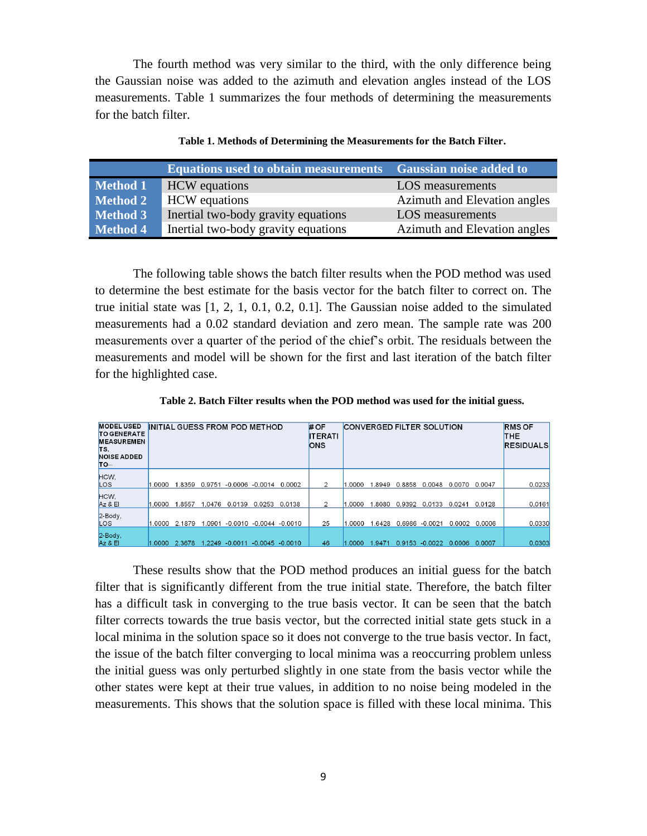The fourth method was very similar to the third, with the only difference being the Gaussian noise was added to the azimuth and elevation angles instead of the LOS measurements. Table 1 summarizes the four methods of determining the measurements for the batch filter.

|          | Equations used to obtain measurements Gaussian noise added to |                              |
|----------|---------------------------------------------------------------|------------------------------|
| Method 1 | <b>HCW</b> equations                                          | LOS measurements             |
| Method 2 | <b>HCW</b> equations                                          | Azimuth and Elevation angles |
| Method 3 | Inertial two-body gravity equations                           | LOS measurements             |
| Method 4 | Inertial two-body gravity equations                           | Azimuth and Elevation angles |

**Table 1. Methods of Determining the Measurements for the Batch Filter.**

The following table shows the batch filter results when the POD method was used to determine the best estimate for the basis vector for the batch filter to correct on. The true initial state was [1, 2, 1, 0.1, 0.2, 0.1]. The Gaussian noise added to the simulated measurements had a 0.02 standard deviation and zero mean. The sample rate was 200 measurements over a quarter of the period of the chief's orbit. The residuals between the measurements and model will be shown for the first and last iteration of the batch filter for the highlighted case.

**Table 2. Batch Filter results when the POD method was used for the initial guess.**

| <b>MODEL USED</b><br><b>TO GENERATE</b><br><b>MEASUREMEN</b><br>ITS.<br><b>NOISE ADDED</b><br>TO |        |        |        | INITIAL GUESS FROM POD METHOD |                             |        | # OF<br><b>ITERATI</b><br><b>ONS</b> |        |        |                | <b>CONVERGED FILTER SOLUTION</b> |        |        | <b>RMS OF</b><br><b>THE</b><br><b>RESIDUALS</b> |
|--------------------------------------------------------------------------------------------------|--------|--------|--------|-------------------------------|-----------------------------|--------|--------------------------------------|--------|--------|----------------|----------------------------------|--------|--------|-------------------------------------------------|
| HCW,<br>LOS                                                                                      | 1.0000 | 1.8359 | 0.9751 | -0.0006                       | $-0.0014$                   | 0.0002 | 2                                    | 1.0000 | .8949  | 0.8858         | 0.0048                           | 0.0070 | 0.0047 | 0.0233                                          |
| HCW,<br>Az & H                                                                                   | 1.0000 | 1.8557 | 1.0476 | 0.0139                        | 0.0253                      | 0.0138 | 2                                    | 1.0000 | .8080  | 0.9392         | 0.0133                           | 0.0241 | 0.0128 | 0.0161                                          |
| 2-Body,<br>LOS                                                                                   | 1.0000 | 2.1879 | 1.0901 |                               | $-0.0010 - 0.0044 - 0.0010$ |        | 25                                   | 1.0000 | 1.6428 | 0.6986 -0.0021 |                                  | 0.0002 | 0.0006 | 0.0330                                          |
| $2 - Body$ ,<br>Az & H                                                                           | 1.0000 | 2.3678 | 1.2249 | $-0.0011$                     | $-0.0045 - 0.0010$          |        | 46                                   | 1.0000 | 1.9471 | 0.9153         | $-0.0022$                        | 0.0006 | 0.0007 | 0.0303                                          |

These results show that the POD method produces an initial guess for the batch filter that is significantly different from the true initial state. Therefore, the batch filter has a difficult task in converging to the true basis vector. It can be seen that the batch filter corrects towards the true basis vector, but the corrected initial state gets stuck in a local minima in the solution space so it does not converge to the true basis vector. In fact, the issue of the batch filter converging to local minima was a reoccurring problem unless the initial guess was only perturbed slightly in one state from the basis vector while the other states were kept at their true values, in addition to no noise being modeled in the measurements. This shows that the solution space is filled with these local minima. This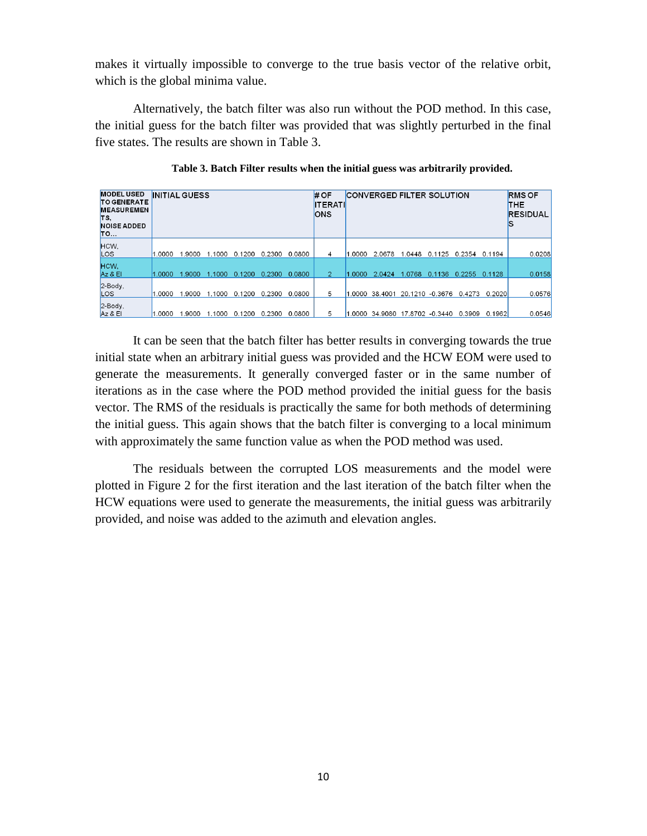makes it virtually impossible to converge to the true basis vector of the relative orbit, which is the global minima value.

Alternatively, the batch filter was also run without the POD method. In this case, the initial guess for the batch filter was provided that was slightly perturbed in the final five states. The results are shown in Table 3.

| <b>MODEL USED</b><br><b>TO GENERATE</b><br><b>MEASUREMEN</b><br>ΙTS.<br><b>NOISE ADDED</b><br><b>TO</b> | <b>INITIAL GUESS</b><br>#OF<br><b>ONS</b> |        |        |        |        |        |                | <b>CONVERGED FILTER SOLUTION</b><br><b>IITERATI</b> |                |                 |        |               |        | <b>RMS OF</b><br>THE<br><b>RESIDUAL</b> |
|---------------------------------------------------------------------------------------------------------|-------------------------------------------|--------|--------|--------|--------|--------|----------------|-----------------------------------------------------|----------------|-----------------|--------|---------------|--------|-----------------------------------------|
| HCW.<br>LOS                                                                                             | 1.0000                                    | 9000   | 1.1000 | 0.1200 | 0.2300 | 0.0800 | 4              | 1.0000                                              | 2.0678         | 1.0448          | 0.1125 | 0.2354        | 0.1194 | 0.0208                                  |
| HCW,<br>Az & H                                                                                          | 1.0000                                    | 1.9000 | 1.1000 | 0.1200 | 0.2300 | 0.0800 | $\overline{2}$ | 1.0000                                              | 2.0424         | 1.0768          | 0.1136 | 0.2255 0.1128 |        | 0.0158                                  |
| $2 - Body$ ,<br>LOS                                                                                     | 1.0000                                    | .9000  | 1.1000 | 0.1200 | 0.2300 | 0.0800 | 5              |                                                     | 1.0000 38.4001 | 20.1210 -0.3676 |        | 0.4273        | 0.2020 | 0.0576                                  |
| 2-Body,<br>Az & H                                                                                       | 1.0000                                    | .9000  | 1.1000 | 0.1200 | 0.2300 | 0.0800 | 5              |                                                     | 1.0000 34.9080 | 17.8702 -0.3440 |        | 0.3909        | 0.1962 | 0.0546                                  |

**Table 3. Batch Filter results when the initial guess was arbitrarily provided.**

It can be seen that the batch filter has better results in converging towards the true initial state when an arbitrary initial guess was provided and the HCW EOM were used to generate the measurements. It generally converged faster or in the same number of iterations as in the case where the POD method provided the initial guess for the basis vector. The RMS of the residuals is practically the same for both methods of determining the initial guess. This again shows that the batch filter is converging to a local minimum with approximately the same function value as when the POD method was used.

The residuals between the corrupted LOS measurements and the model were plotted in Figure 2 for the first iteration and the last iteration of the batch filter when the HCW equations were used to generate the measurements, the initial guess was arbitrarily provided, and noise was added to the azimuth and elevation angles.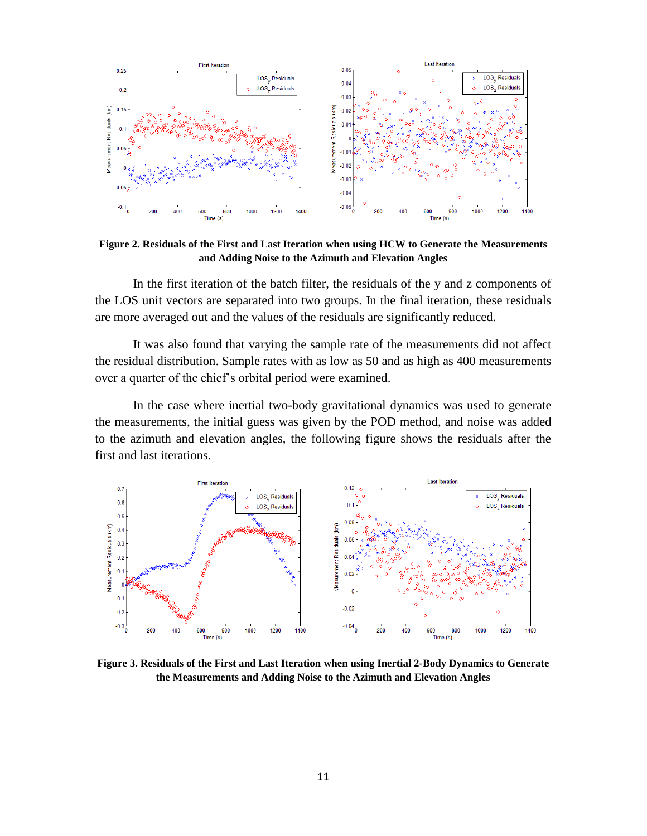

**Figure 2. Residuals of the First and Last Iteration when using HCW to Generate the Measurements and Adding Noise to the Azimuth and Elevation Angles**

In the first iteration of the batch filter, the residuals of the y and z components of the LOS unit vectors are separated into two groups. In the final iteration, these residuals are more averaged out and the values of the residuals are significantly reduced.

It was also found that varying the sample rate of the measurements did not affect the residual distribution. Sample rates with as low as 50 and as high as 400 measurements over a quarter of the chief's orbital period were examined.

In the case where inertial two-body gravitational dynamics was used to generate the measurements, the initial guess was given by the POD method, and noise was added to the azimuth and elevation angles, the following figure shows the residuals after the first and last iterations.



**Figure 3. Residuals of the First and Last Iteration when using Inertial 2-Body Dynamics to Generate the Measurements and Adding Noise to the Azimuth and Elevation Angles**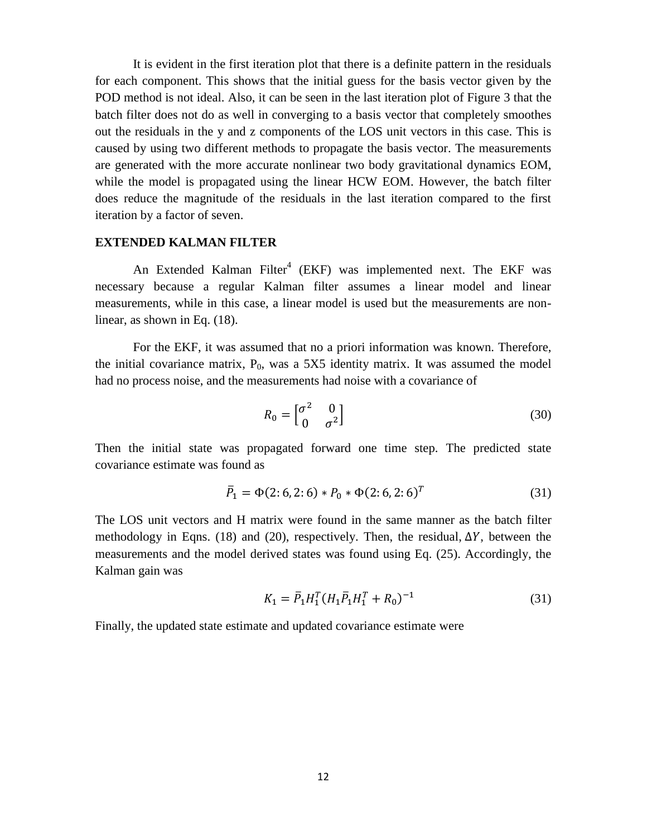It is evident in the first iteration plot that there is a definite pattern in the residuals for each component. This shows that the initial guess for the basis vector given by the POD method is not ideal. Also, it can be seen in the last iteration plot of Figure 3 that the batch filter does not do as well in converging to a basis vector that completely smoothes out the residuals in the y and z components of the LOS unit vectors in this case. This is caused by using two different methods to propagate the basis vector. The measurements are generated with the more accurate nonlinear two body gravitational dynamics EOM, while the model is propagated using the linear HCW EOM. However, the batch filter does reduce the magnitude of the residuals in the last iteration compared to the first iteration by a factor of seven.

# **EXTENDED KALMAN FILTER**

An Extended Kalman Filter<sup>4</sup> (EKF) was implemented next. The EKF was necessary because a regular Kalman filter assumes a linear model and linear measurements, while in this case, a linear model is used but the measurements are nonlinear, as shown in Eq. (18).

For the EKF, it was assumed that no a priori information was known. Therefore, the initial covariance matrix,  $P_0$ , was a 5X5 identity matrix. It was assumed the model had no process noise, and the measurements had noise with a covariance of

$$
R_0 = \begin{bmatrix} \sigma^2 & 0 \\ 0 & \sigma^2 \end{bmatrix} \tag{30}
$$

Then the initial state was propagated forward one time step. The predicted state covariance estimate was found as

$$
\overline{P}_1 = \Phi(2:6, 2:6) * P_0 * \Phi(2:6, 2:6)^T
$$
\n(31)

The LOS unit vectors and H matrix were found in the same manner as the batch filter methodology in Eqns. (18) and (20), respectively. Then, the residual,  $\Delta Y$ , between the measurements and the model derived states was found using Eq. (25). Accordingly, the Kalman gain was

$$
K_1 = \bar{P}_1 H_1^T (H_1 \bar{P}_1 H_1^T + R_0)^{-1}
$$
\n(31)

Finally, the updated state estimate and updated covariance estimate were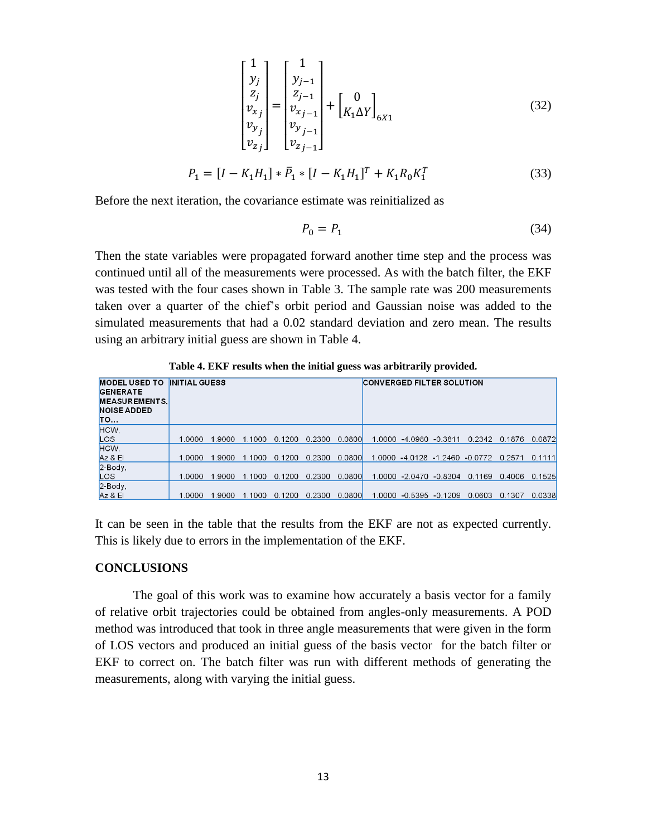$$
\begin{bmatrix} 1 \\ y_j \\ z_j \\ v_{x_j} \\ v_{y_j} \\ v_{z_j} \end{bmatrix} = \begin{bmatrix} 1 \\ y_{j-1} \\ z_{j-1} \\ v_{x_{j-1}} \\ v_{y_{j-1}} \\ v_{z_{j-1}} \end{bmatrix} + \begin{bmatrix} 0 \\ K_1 \Delta Y \end{bmatrix}_{6X1}
$$
 (32)

$$
P_1 = [I - K_1 H_1] * \bar{P}_1 * [I - K_1 H_1]^T + K_1 R_0 K_1^T
$$
\n(33)

Before the next iteration, the covariance estimate was reinitialized as

$$
P_0 = P_1 \tag{34}
$$

Then the state variables were propagated forward another time step and the process was continued until all of the measurements were processed. As with the batch filter, the EKF was tested with the four cases shown in Table 3. The sample rate was 200 measurements taken over a quarter of the chief's orbit period and Gaussian noise was added to the simulated measurements that had a 0.02 standard deviation and zero mean. The results using an arbitrary initial guess are shown in Table 4.

|                                                                                      |                      |        |        |        |        | -      |                                  |                        |                        |           |                      |        |
|--------------------------------------------------------------------------------------|----------------------|--------|--------|--------|--------|--------|----------------------------------|------------------------|------------------------|-----------|----------------------|--------|
| <b>MODEL USED TO</b><br><b>GENERATE</b><br><b>MEASUREMENTS</b><br><b>NOISE ADDED</b> | <b>INITIAL GUESS</b> |        |        |        |        |        | <b>CONVERGED FILTER SOLUTION</b> |                        |                        |           |                      |        |
| πо…                                                                                  |                      |        |        |        |        |        |                                  |                        |                        |           |                      |        |
| HCW,                                                                                 |                      |        |        |        |        |        |                                  |                        |                        |           |                      |        |
| LOS                                                                                  | 1.0000               | 1.9000 | 1.1000 | 0.1200 | 0.2300 | 0.0800 |                                  | 1.0000 -4.0980 -0.3811 |                        |           | 0.2342 0.1876 0.0872 |        |
| HCW.                                                                                 |                      |        |        |        |        |        |                                  |                        |                        |           |                      |        |
| Az & H                                                                               | 1.0000               | 1.9000 | 1.1000 | 0.1200 | 0.2300 | 0.0800 |                                  |                        | 1.0000 -4.0128 -1.2460 | $-0.0772$ | 0.2571               | 0.1111 |
| $2 - Body$ ,                                                                         |                      |        |        |        |        |        |                                  |                        |                        |           |                      |        |
| LOS                                                                                  | 1.0000               | 1.9000 | 1.1000 | 0.1200 | 0.2300 | 0.0800 |                                  | 1.0000 -2.0470 -0.8304 |                        | 0.1169    | 0.4006               | 0.1525 |
| $2$ -Body,                                                                           |                      |        |        |        |        |        |                                  |                        |                        |           |                      |        |
| Az & H                                                                               | 1.0000               | 1.9000 | 1.1000 | 0.1200 | 0.2300 | 0.0800 | 1.0000                           | -0.5395                | $-0.1209$              | 0.0603    | 0.1307               | 0.0338 |

**Table 4. EKF results when the initial guess was arbitrarily provided.**

It can be seen in the table that the results from the EKF are not as expected currently. This is likely due to errors in the implementation of the EKF.

## **CONCLUSIONS**

The goal of this work was to examine how accurately a basis vector for a family of relative orbit trajectories could be obtained from angles-only measurements. A POD method was introduced that took in three angle measurements that were given in the form of LOS vectors and produced an initial guess of the basis vector for the batch filter or EKF to correct on. The batch filter was run with different methods of generating the measurements, along with varying the initial guess.